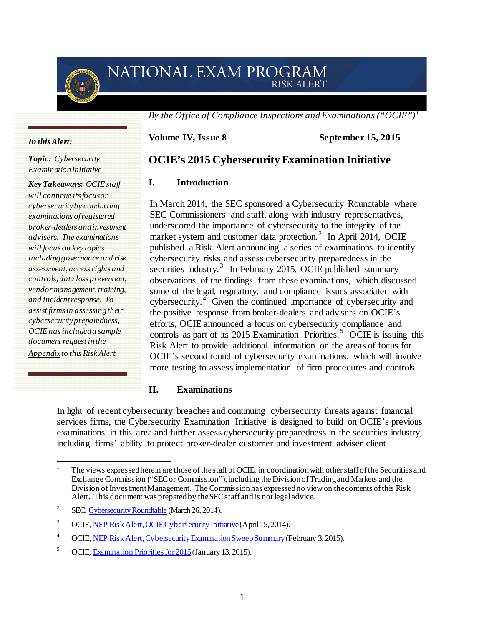# NATIONAL EXAM PROGRAM **RISK ALERT**

*By the Office of Compliance Inspections and Examinations ("OCIE")[1](#page-0-0)*

**Volume IV, Issue 8 September 15, 2015** 

*Topic: Cybersecurity ExaminationInitiative*

*In this Alert:* 

*Key Takeaways: OCIE staff will continue its focus on cybersecurity by conducting examinations of registered broker-dealers and investment advisers. The examinations will focus on key topics includinggovernance and risk assessment, access rights and controls, data loss prevention, vendor management, training, and incident response. To assist firms in assessing their cybersecurity preparedness, OCIE has included a sample document request in the Appendixto this Risk Alert.*

# **OCIE's 2015 Cybersecurity Examination Initiative**

#### **I. Introduction**

In March 2014, the SEC sponsored a Cybersecurity Roundtable where SEC Commissioners and staff, along with industry representatives, underscored the importance of cybersecurity to the integrity of the market system and customer data protection.<sup>[2](#page-0-1)</sup> In April 2014, OCIE published a Risk Alert announcing a series of examinations to identify cybersecurity risks and assess cybersecurity preparedness in the securities industry.<sup>[3](#page-0-2)</sup> In February 2015, OCIE published summary observations of the findings from these examinations, which discussed some of the legal, regulatory, and compliance issues associated with cybersecurity. $<sup>4</sup>$  $<sup>4</sup>$  $<sup>4</sup>$  Given the continued importance of cybersecurity and</sup> the positive response from broker-dealers and advisers on OCIE's efforts, OCIE announced a focus on cybersecurity compliance and controls as part of its 201[5](#page-0-4) Examination Priorities.<sup>5</sup> OCIE is issuing this Risk Alert to provide additional information on the areas of focus for OCIE's second round of cybersecurity examinations, which will involve more testing to assess implementation of firm procedures and controls.

#### **II. Examinations**

In light of recent cybersecurity breaches and continuing cybersecurity threats against financial services firms, the Cybersecurity Examination Initiative is designed to build on OCIE's previous examinations in this area and further assess cybersecurity preparedness in the securities industry, including firms' ability to protect broker-dealer customer and investment adviser client

<span id="page-0-0"></span><sup>1</sup> The views expressed herein are those of the staff of OCIE, in coordination with other staff of the Securities and Exchange Commission ("SEC or Commission"), including the Division ofTrading and Markets and the Division ofInvestment Management. The Commission has expressed no view on thecontents of this Risk Alert. This document was prepared by the SEC staff and is not legal advice.

<span id="page-0-1"></span><sup>2</sup> SEC, [Cybersecurity Roundtable](http://www.sec.gov/news/otherwebcasts/2014/cybersecurity-roundtable-032614.shtml) (March 26, 2014).

<span id="page-0-2"></span><sup>3</sup> OCIE[, NEP Risk Alert, OCIE Cybersecurity Initiative](http://www.sec.gov/ocie/announcement/Cybersecurity-Risk-Alert--Appendix---4.15.14.pdf)(April 15, 2014).

<span id="page-0-3"></span><sup>4</sup> OCIE[, NEP Risk Alert, Cybersecurity Examination Sweep Summary](http://www.sec.gov/about/offices/ocie/cybersecurity-examination-sweep-summary.pdf)(February 3, 2015).

<span id="page-0-4"></span><sup>5</sup> OCIE[, Examination Priorities for 2015](http://www.sec.gov/about/offices/ocie/national-examination-program-priorities-2015.pdf)(January13, 2015).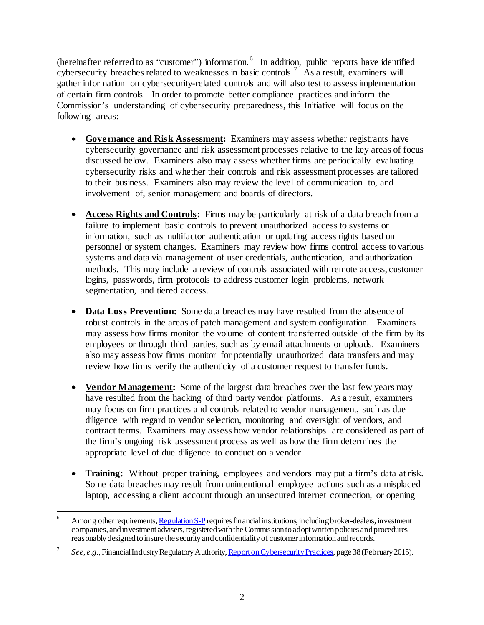(hereinafter referred to as "customer") information. <sup>[6](#page-1-0)</sup> In addition, public reports have identified cybersecurity breaches related to weaknesses in basic controls.<sup>[7](#page-1-1)</sup> As a result, examiners will gather information on cybersecurity-related controls and will also test to assess implementation of certain firm controls. In order to promote better compliance practices and inform the Commission's understanding of cybersecurity preparedness, this Initiative will focus on the following areas:

- **Governance and Risk Assessment:** Examiners may assess whether registrants have cybersecurity governance and risk assessment processes relative to the key areas of focus discussed below. Examiners also may assess whether firms are periodically evaluating cybersecurity risks and whether their controls and risk assessment processes are tailored to their business. Examiners also may review the level of communication to, and involvement of, senior management and boards of directors.
- **Access Rights and Controls:** Firms may be particularly at risk of a data breach from a failure to implement basic controls to prevent unauthorized access to systems or information, such as multifactor authentication or updating access rights based on personnel or system changes. Examiners may review how firms control access to various systems and data via management of user credentials, authentication, and authorization methods. This may include a review of controls associated with remote access, customer logins, passwords, firm protocols to address customer login problems, network segmentation, and tiered access.
- **Data Loss Prevention:** Some data breaches may have resulted from the absence of robust controls in the areas of patch management and system configuration. Examiners may assess how firms monitor the volume of content transferred outside of the firm by its employees or through third parties, such as by email attachments or uploads. Examiners also may assess how firms monitor for potentially unauthorized data transfers and may review how firms verify the authenticity of a customer request to transfer funds.
- **Vendor Management:** Some of the largest data breaches over the last few years may have resulted from the hacking of third party vendor platforms. As a result, examiners may focus on firm practices and controls related to vendor management, such as due diligence with regard to vendor selection, monitoring and oversight of vendors, and contract terms. Examiners may assess how vendor relationships are considered as part of the firm's ongoing risk assessment process as well as how the firm determines the appropriate level of due diligence to conduct on a vendor.
- **Training:** Without proper training, employees and vendors may put a firm's data at risk. Some data breaches may result from unintentional employee actions such as a misplaced laptop, accessing a client account through an unsecured internet connection, or opening

<span id="page-1-0"></span>Among other requirements[, Regulation S-P](https://www.sec.gov/rules/final/34-42974.htm) requires financial institutions, including broker-dealers, investment companies, and investment advisers, registered with the Commission to adopt writtenpolicies and procedures reasonably designed to insure the security and confidentiality of customer information and records.

<span id="page-1-1"></span><sup>7</sup> *See, e.g.*, Financial Industry Regulatory Authorit[y, Report on Cybersecurity Practices](https://www.finra.org/sites/default/files/p602363%20Report%20on%20Cybersecurity%20Practices_0.pdf), page 38 (February 2015).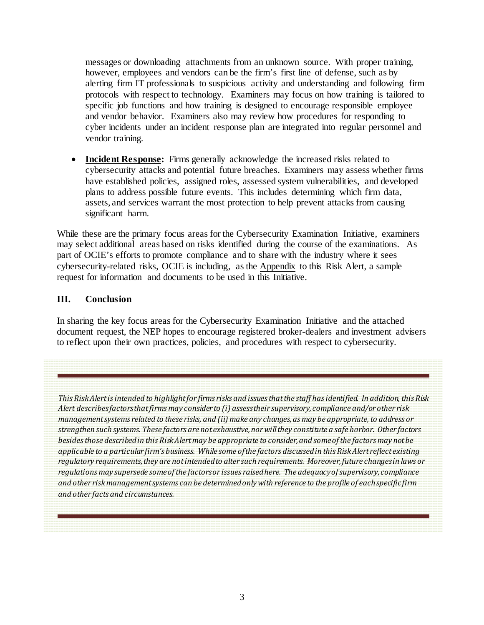messages or downloading attachments from an unknown source. With proper training, however, employees and vendors can be the firm's first line of defense, such as by alerting firm IT professionals to suspicious activity and understanding and following firm protocols with respect to technology. Examiners may focus on how training is tailored to specific job functions and how training is designed to encourage responsible employee and vendor behavior. Examiners also may review how procedures for responding to cyber incidents under an incident response plan are integrated into regular personnel and vendor training.

• **Incident Response:** Firms generally acknowledge the increased risks related to cybersecurity attacks and potential future breaches. Examiners may assess whether firms have established policies, assigned roles, assessed system vulnerabilities, and developed plans to address possible future events. This includes determining which firm data, assets, and services warrant the most protection to help prevent attacks from causing significant harm.

While these are the primary focus areas for the Cybersecurity Examination Initiative, examiners may select additional areas based on risks identified during the course of the examinations. As part of OCIE's efforts to promote compliance and to share with the industry where it sees cybersecurity-related risks, OCIE is including, as the Appendix to this Risk Alert, a sample request for information and documents to be used in this Initiative.

#### **III. Conclusion**

In sharing the key focus areas for the Cybersecurity Examination Initiative and the attached document request, the NEP hopes to encourage registered broker-dealers and investment advisers to reflect upon their own practices, policies, and procedures with respect to cybersecurity.

*This Risk Alert is intended to highlight for firms risks and issues that the staff has identified. In addition, this Risk Alert describes factors that firms may consider to (i) assess their supervisory, compliance and/or other risk management systems related to these risks, and (ii) make any changes, as may be appropriate, to address or strengthen such systems. These factors are not exhaustive, nor will they constitute a safe harbor. Other factors besides those described in this Risk Alert may be appropriate to consider, and some of the factors may not be applicable to a particular firm's business. While some of the factors discussed in this Risk Alert reflect existing regulatory requirements, they are not intended to alter such requirements. Moreover, future changes in laws or regulations may supersede some of the factors or issues raised here. The adequacy of supervisory, compliance and other risk management systems can be determined only with reference to the profile of each specific firm and other facts and circumstances.*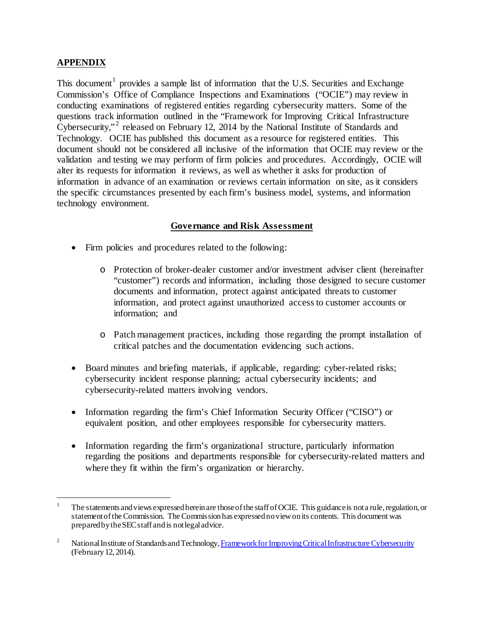# **APPENDIX**

This document<sup>[1](#page-3-0)</sup> provides a sample list of information that the U.S. Securities and Exchange Commission's Office of Compliance Inspections and Examinations ("OCIE") may review in conducting examinations of registered entities regarding cybersecurity matters. Some of the questions track information outlined in the "Framework for Improving Critical Infrastructure Cybersecurity,"<sup>[2](#page-3-1)</sup> released on February 12, 2014 by the National Institute of Standards and Technology. OCIE has published this document as a resource for registered entities. This document should not be considered all inclusive of the information that OCIE may review or the validation and testing we may perform of firm policies and procedures. Accordingly, OCIE will alter its requests for information it reviews, as well as whether it asks for production of information in advance of an examination or reviews certain information on site, as it considers the specific circumstances presented by each firm's business model, systems, and information technology environment.

#### **Governance and Risk Assessment**

- Firm policies and procedures related to the following:
	- o Protection of broker-dealer customer and/or investment adviser client (hereinafter "customer") records and information, including those designed to secure customer documents and information, protect against anticipated threats to customer information, and protect against unauthorized access to customer accounts or information; and
	- o Patch management practices, including those regarding the prompt installation of critical patches and the documentation evidencing such actions.
- Board minutes and briefing materials, if applicable, regarding: cyber-related risks; cybersecurity incident response planning; actual cybersecurity incidents; and cybersecurity-related matters involving vendors.
- Information regarding the firm's Chief Information Security Officer ("CISO") or equivalent position, and other employees responsible for cybersecurity matters.
- Information regarding the firm's organizational structure, particularly information regarding the positions and departments responsible for cybersecurity-related matters and where they fit within the firm's organization or hierarchy.

<span id="page-3-0"></span>The statements and views expressed herein are those of the staff of OCIE. This guidance is not a rule, regulation, or statement of the Commission. The Commission has expressed no view on its contents. This document was prepared by the SEC staff and is not legal advice.

<span id="page-3-1"></span><sup>&</sup>lt;sup>2</sup> National Institute of Standards and Technolog[y, Framework for Improving Critical Infrastructure Cybersecurity](http://www.nist.gov/cyberframework/upload/cybersecurity-framework-021214-final.pdf) (February12, 2014).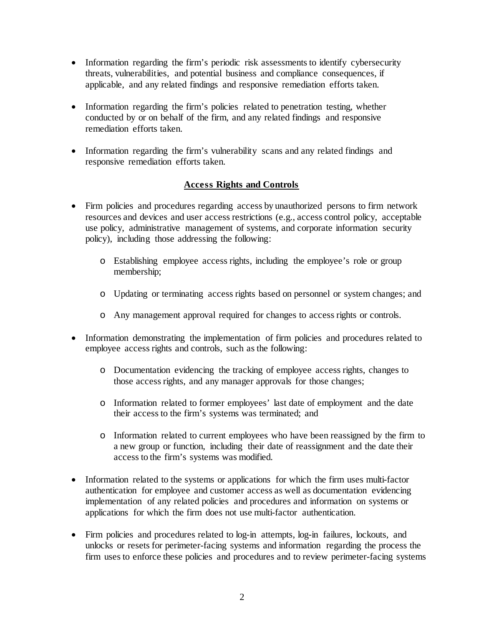- Information regarding the firm's periodic risk assessments to identify cybersecurity threats, vulnerabilities, and potential business and compliance consequences, if applicable, and any related findings and responsive remediation efforts taken.
- Information regarding the firm's policies related to penetration testing, whether conducted by or on behalf of the firm, and any related findings and responsive remediation efforts taken.
- Information regarding the firm's vulnerability scans and any related findings and responsive remediation efforts taken.

## **Access Rights and Controls**

- Firm policies and procedures regarding access by unauthorized persons to firm network resources and devices and user access restrictions (e.g., access control policy, acceptable use policy, administrative management of systems, and corporate information security policy), including those addressing the following:
	- o Establishing employee access rights, including the employee's role or group membership;
	- o Updating or terminating access rights based on personnel or system changes; and
	- o Any management approval required for changes to access rights or controls.
- Information demonstrating the implementation of firm policies and procedures related to employee access rights and controls, such as the following:
	- o Documentation evidencing the tracking of employee access rights, changes to those access rights, and any manager approvals for those changes;
	- o Information related to former employees' last date of employment and the date their access to the firm's systems was terminated; and
	- o Information related to current employees who have been reassigned by the firm to a new group or function, including their date of reassignment and the date their access to the firm's systems was modified.
- Information related to the systems or applications for which the firm uses multi-factor authentication for employee and customer access as well as documentation evidencing implementation of any related policies and procedures and information on systems or applications for which the firm does not use multi-factor authentication.
- Firm policies and procedures related to log-in attempts, log-in failures, lockouts, and unlocks or resets for perimeter-facing systems and information regarding the process the firm uses to enforce these policies and procedures and to review perimeter-facing systems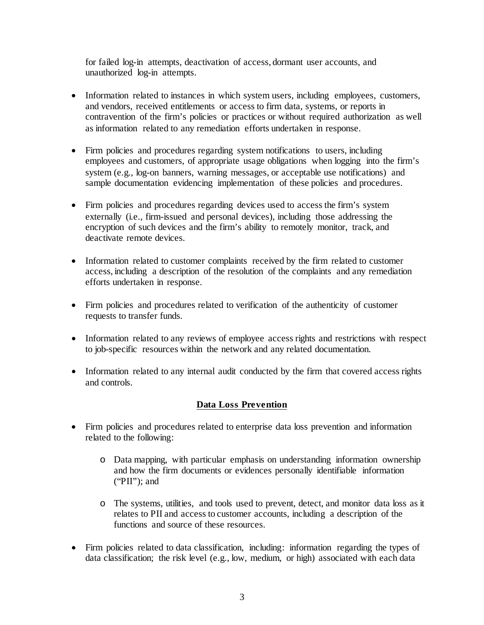for failed log-in attempts, deactivation of access, dormant user accounts, and unauthorized log-in attempts.

- Information related to instances in which system users, including employees, customers, and vendors, received entitlements or access to firm data, systems, or reports in contravention of the firm's policies or practices or without required authorization as well as information related to any remediation efforts undertaken in response.
- Firm policies and procedures regarding system notifications to users, including employees and customers, of appropriate usage obligations when logging into the firm's system (e.g., log-on banners, warning messages, or acceptable use notifications) and sample documentation evidencing implementation of these policies and procedures.
- Firm policies and procedures regarding devices used to access the firm's system externally (i.e., firm-issued and personal devices), including those addressing the encryption of such devices and the firm's ability to remotely monitor, track, and deactivate remote devices.
- Information related to customer complaints received by the firm related to customer access, including a description of the resolution of the complaints and any remediation efforts undertaken in response.
- Firm policies and procedures related to verification of the authenticity of customer requests to transfer funds.
- Information related to any reviews of employee access rights and restrictions with respect to job-specific resources within the network and any related documentation.
- Information related to any internal audit conducted by the firm that covered access rights and controls.

## **Data Loss Prevention**

- Firm policies and procedures related to enterprise data loss prevention and information related to the following:
	- o Data mapping, with particular emphasis on understanding information ownership and how the firm documents or evidences personally identifiable information ("PII"); and
	- o The systems, utilities, and tools used to prevent, detect, and monitor data loss as it relates to PII and access to customer accounts, including a description of the functions and source of these resources.
- Firm policies related to data classification, including: information regarding the types of data classification; the risk level (e.g., low, medium, or high) associated with each data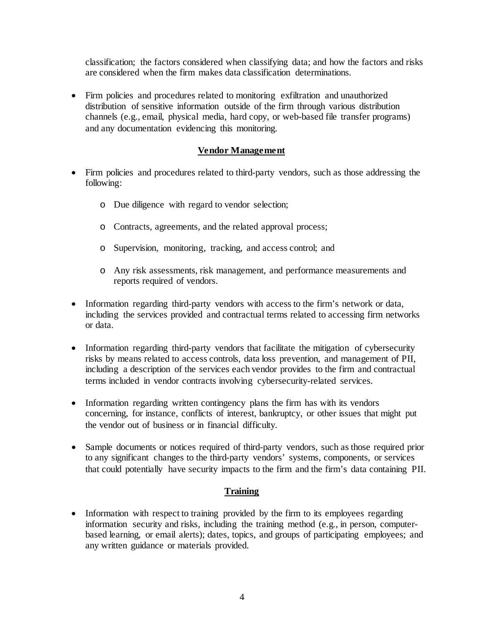classification; the factors considered when classifying data; and how the factors and risks are considered when the firm makes data classification determinations.

• Firm policies and procedures related to monitoring exfiltration and unauthorized distribution of sensitive information outside of the firm through various distribution channels (e.g., email, physical media, hard copy, or web-based file transfer programs) and any documentation evidencing this monitoring.

# **Vendor Management**

- Firm policies and procedures related to third-party vendors, such as those addressing the following:
	- o Due diligence with regard to vendor selection;
	- o Contracts, agreements, and the related approval process;
	- o Supervision, monitoring, tracking, and access control; and
	- o Any risk assessments, risk management, and performance measurements and reports required of vendors.
- Information regarding third-party vendors with access to the firm's network or data, including the services provided and contractual terms related to accessing firm networks or data.
- Information regarding third-party vendors that facilitate the mitigation of cybersecurity risks by means related to access controls, data loss prevention, and management of PII, including a description of the services each vendor provides to the firm and contractual terms included in vendor contracts involving cybersecurity-related services.
- Information regarding written contingency plans the firm has with its vendors concerning, for instance, conflicts of interest, bankruptcy, or other issues that might put the vendor out of business or in financial difficulty.
- Sample documents or notices required of third-party vendors, such as those required prior to any significant changes to the third-party vendors' systems, components, or services that could potentially have security impacts to the firm and the firm's data containing PII.

## **Training**

• Information with respect to training provided by the firm to its employees regarding information security and risks, including the training method (e.g., in person, computerbased learning, or email alerts); dates, topics, and groups of participating employees; and any written guidance or materials provided.